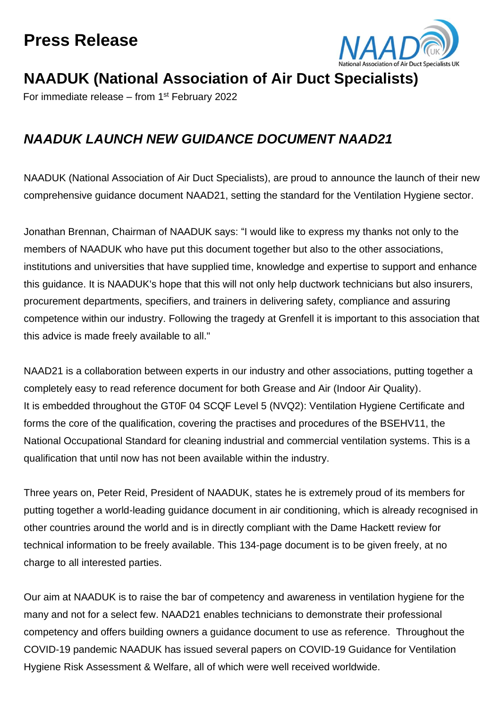## **Press Release**



## **NAADUK (National Association of Air Duct Specialists)**

For immediate release - from 1<sup>st</sup> February 2022

## *NAADUK LAUNCH NEW GUIDANCE DOCUMENT NAAD21*

NAADUK (National Association of Air Duct Specialists), are proud to announce the launch of their new comprehensive guidance document NAAD21, setting the standard for the Ventilation Hygiene sector.

Jonathan Brennan, Chairman of NAADUK says: "I would like to express my thanks not only to the members of NAADUK who have put this document together but also to the other associations, institutions and universities that have supplied time, knowledge and expertise to support and enhance this guidance. It is NAADUK's hope that this will not only help ductwork technicians but also insurers, procurement departments, specifiers, and trainers in delivering safety, compliance and assuring competence within our industry. Following the tragedy at Grenfell it is important to this association that this advice is made freely available to all."

NAAD21 is a collaboration between experts in our industry and other associations, putting together a completely easy to read reference document for both Grease and Air (Indoor Air Quality). It is embedded throughout the GT0F 04 SCQF Level 5 (NVQ2): Ventilation Hygiene Certificate and forms the core of the qualification, covering the practises and procedures of the BSEHV11, the National Occupational Standard for cleaning industrial and commercial ventilation systems. This is a qualification that until now has not been available within the industry.

Three years on, Peter Reid, President of NAADUK, states he is extremely proud of its members for putting together a world-leading guidance document in air conditioning, which is already recognised in other countries around the world and is in directly compliant with the Dame Hackett review for technical information to be freely available. This 134-page document is to be given freely, at no charge to all interested parties.

Our aim at NAADUK is to raise the bar of competency and awareness in ventilation hygiene for the many and not for a select few. NAAD21 enables technicians to demonstrate their professional competency and offers building owners a guidance document to use as reference. Throughout the COVID-19 pandemic NAADUK has issued several papers on COVID-19 Guidance for Ventilation Hygiene Risk Assessment & Welfare, all of which were well received worldwide.